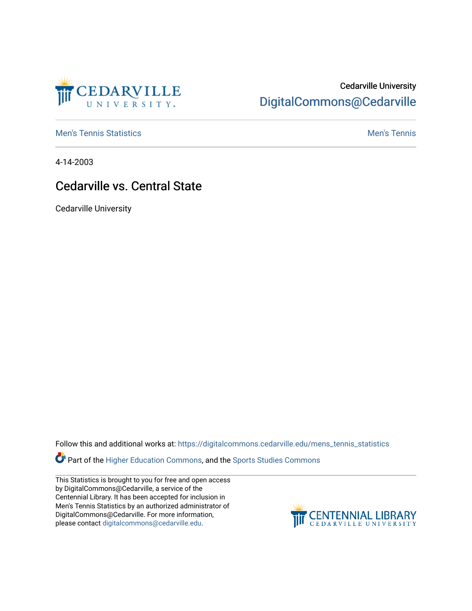

## Cedarville University [DigitalCommons@Cedarville](https://digitalcommons.cedarville.edu/)

**[Men's Tennis Statistics](https://digitalcommons.cedarville.edu/mens_tennis_statistics) Mental According to the Control of Control According Mental Men's Tennis** 

4-14-2003

## Cedarville vs. Central State

Cedarville University

Follow this and additional works at: [https://digitalcommons.cedarville.edu/mens\\_tennis\\_statistics](https://digitalcommons.cedarville.edu/mens_tennis_statistics?utm_source=digitalcommons.cedarville.edu%2Fmens_tennis_statistics%2F532&utm_medium=PDF&utm_campaign=PDFCoverPages)

**Part of the [Higher Education Commons,](http://network.bepress.com/hgg/discipline/1245?utm_source=digitalcommons.cedarville.edu%2Fmens_tennis_statistics%2F532&utm_medium=PDF&utm_campaign=PDFCoverPages) and the Sports Studies Commons** 

This Statistics is brought to you for free and open access by DigitalCommons@Cedarville, a service of the Centennial Library. It has been accepted for inclusion in Men's Tennis Statistics by an authorized administrator of DigitalCommons@Cedarville. For more information, please contact [digitalcommons@cedarville.edu](mailto:digitalcommons@cedarville.edu).